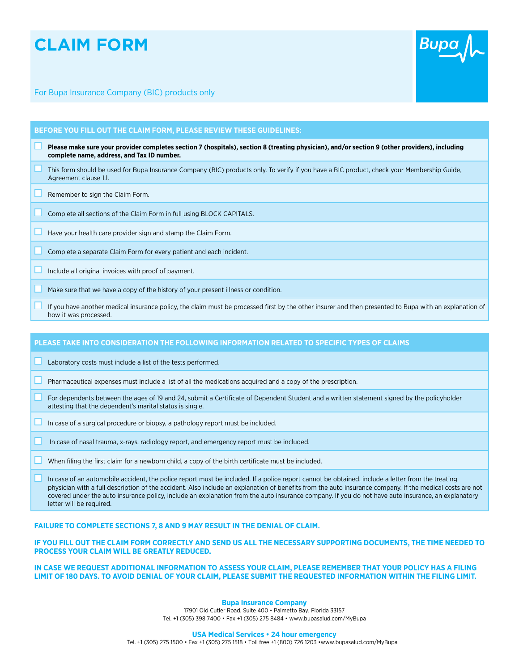# **CLAIM FORM**



For Bupa Insurance Company (BIC) products only

### **BEFORE YOU FILL OUT THE CLAIM FORM, PLEASE REVIEW THESE GUIDELINES:**

- п **Please make sure your provider completes section 7 (hospitals), section 8 (treating physician), and/or section 9 (other providers), including complete name, address, and Tax ID number.**
- п This form should be used for Bupa Insurance Company (BIC) products only. To verify if you have a BIC product, check your Membership Guide, Agreement clause 1.1.

п Remember to sign the Claim Form.

п Complete all sections of the Claim Form in full using BLOCK CAPITALS.

п Have your health care provider sign and stamp the Claim Form.

□. Complete a separate Claim Form for every patient and each incident.

◻ Include all original invoices with proof of payment.

□. Make sure that we have a copy of the history of your present illness or condition.

If you have another medical insurance policy, the claim must be processed first by the other insurer and then presented to Bupa with an explanation of how it was processed.

### **PLEASE TAKE INTO CONSIDERATION THE FOLLOWING INFORMATION RELATED TO SPECIFIC TYPES OF CLAIMS**

- П. Laboratory costs must include a list of the tests performed.
- П. Pharmaceutical expenses must include a list of all the medications acquired and a copy of the prescription.
- □. For dependents between the ages of 19 and 24, submit a Certificate of Dependent Student and a written statement signed by the policyholder attesting that the dependent's marital status is single.
- ш In case of a surgical procedure or biopsy, a pathology report must be included.
- Ω, In case of nasal trauma, x-rays, radiology report, and emergency report must be included.
- When filing the first claim for a newborn child, a copy of the birth certificate must be included.

In case of an automobile accident, the police report must be included. If a police report cannot be obtained, include a letter from the treating physician with a full description of the accident. Also include an explanation of benefits from the auto insurance company. If the medical costs are not covered under the auto insurance policy, include an explanation from the auto insurance company. If you do not have auto insurance, an explanatory letter will be required.

### **FAILURE TO COMPLETE SECTIONS 7, 8 AND 9 MAY RESULT IN THE DENIAL OF CLAIM.**

**IF YOU FILL OUT THE CLAIM FORM CORRECTLY AND SEND US ALL THE NECESSARY SUPPORTING DOCUMENTS, THE TIME NEEDED TO PROCESS YOUR CLAIM WILL BE GREATLY REDUCED.**

**IN CASE WE REQUEST ADDITIONAL INFORMATION TO ASSESS YOUR CLAIM, PLEASE REMEMBER THAT YOUR POLICY HAS A FILING LIMIT OF 180 DAYS. TO AVOID DENIAL OF YOUR CLAIM, PLEASE SUBMIT THE REQUESTED INFORMATION WITHIN THE FILING LIMIT.**

> **Bupa Insurance Company** 17901 Old Cutler Road, Suite 400 • Palmetto Bay, Florida 33157 Tel. +1 (305) 398 7400 • Fax +1 (305) 275 8484 • www.bupasalud.com/MyBupa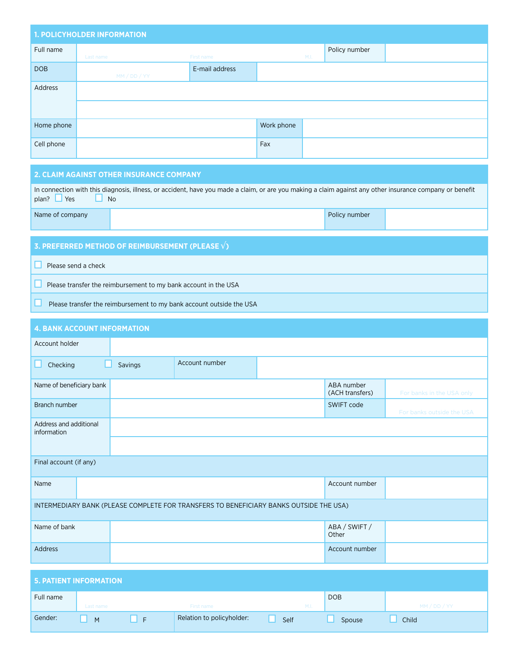| <b>1. POLICYHOLDER INFORMATION</b> |           |                |            |      |               |  |  |
|------------------------------------|-----------|----------------|------------|------|---------------|--|--|
| Full name                          | Last name | First name     |            | M.I. | Policy number |  |  |
| <b>DOB</b>                         | MM/DD/YY  | E-mail address |            |      |               |  |  |
| Address                            |           |                |            |      |               |  |  |
|                                    |           |                |            |      |               |  |  |
| Home phone                         |           |                | Work phone |      |               |  |  |
| Cell phone                         |           |                | Fax        |      |               |  |  |

## **2. CLAIM AGAINST OTHER INSURANCE COMPANY**

| In connection with this diagnosis, illness, or accident, have you made a claim, or are you making a claim against any other insurance company or benefit<br>plan?<br>Yes<br><b>No</b> |  |  |  |  |  |  |
|---------------------------------------------------------------------------------------------------------------------------------------------------------------------------------------|--|--|--|--|--|--|
| Name of company                                                                                                                                                                       |  |  |  |  |  |  |
|                                                                                                                                                                                       |  |  |  |  |  |  |

# **3. PREFERRED METHOD OF REIMBURSEMENT (PLEASE** √**)**

 $\Box$  Please send a check

**Please transfer the reimbursement to my bank account in the USA** 

 $\Box$  Please transfer the reimbursement to my bank account outside the USA

| <b>4. BANK ACCOUNT INFORMATION</b>                                                     |         |                |  |                               |                           |  |
|----------------------------------------------------------------------------------------|---------|----------------|--|-------------------------------|---------------------------|--|
| Account holder                                                                         |         |                |  |                               |                           |  |
| Checking                                                                               | Savings | Account number |  |                               |                           |  |
| Name of beneficiary bank                                                               |         |                |  | ABA number<br>(ACH transfers) | For banks in the USA only |  |
| Branch number                                                                          |         |                |  | SWIFT code                    | For banks outside the USA |  |
| Address and additional<br>information                                                  |         |                |  |                               |                           |  |
|                                                                                        |         |                |  |                               |                           |  |
| Final account (if any)                                                                 |         |                |  |                               |                           |  |
| Name                                                                                   |         |                |  | Account number                |                           |  |
| INTERMEDIARY BANK (PLEASE COMPLETE FOR TRANSFERS TO BENEFICIARY BANKS OUTSIDE THE USA) |         |                |  |                               |                           |  |
| Name of bank                                                                           |         |                |  | ABA / SWIFT /<br>Other        |                           |  |
| Address                                                                                |         |                |  | Account number                |                           |  |
|                                                                                        |         |                |  |                               |                           |  |
| <b>F. BATIFMT IMPABMATIAM.</b>                                                         |         |                |  |                               |                           |  |

| <b>5. PATIENT INFORMATION</b> |           |  |                           |      |            |              |
|-------------------------------|-----------|--|---------------------------|------|------------|--------------|
| Full name                     |           |  |                           |      | <b>DOB</b> |              |
|                               | Last name |  | First name                | M.I. |            | MM / DD / YY |
| Gender:                       | M         |  | Relation to policyholder: | Self | Spouse     | Child        |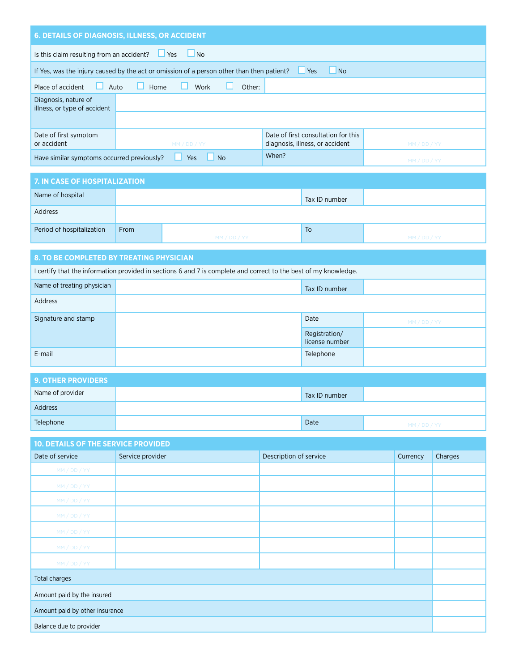| <b>6. DETAILS OF DIAGNOSIS, ILLNESS, OR ACCIDENT</b>                                                                                           |                                                                   |  |  |  |  |  |  |
|------------------------------------------------------------------------------------------------------------------------------------------------|-------------------------------------------------------------------|--|--|--|--|--|--|
|                                                                                                                                                | Is this claim resulting from an accident? $\Box$ Yes<br>$\Box$ No |  |  |  |  |  |  |
| If Yes, was the injury caused by the act or omission of a person other than then patient?<br><b>Yes</b><br>N <sub>o</sub>                      |                                                                   |  |  |  |  |  |  |
| Place of accident                                                                                                                              | Auto<br>Home<br>Work<br>Other:                                    |  |  |  |  |  |  |
| Diagnosis, nature of<br>illness, or type of accident                                                                                           |                                                                   |  |  |  |  |  |  |
|                                                                                                                                                |                                                                   |  |  |  |  |  |  |
| Date of first consultation for this<br>Date of first symptom<br>or accident<br>diagnosis, illness, or accident<br>MM / DD / YY<br>MM / DD / YY |                                                                   |  |  |  |  |  |  |
| When?<br>Have similar symptoms occurred previously?<br>Yes<br>Nο<br>MM / DD / YY                                                               |                                                                   |  |  |  |  |  |  |

| 7. IN CASE OF HOSPITALIZATION |      |              |               |              |  |  |  |
|-------------------------------|------|--------------|---------------|--------------|--|--|--|
| Name of hospital              |      |              | Tax ID number |              |  |  |  |
| Address                       |      |              |               |              |  |  |  |
| Period of hospitalization     | From | MM / DD / YY | To            | MM / DD / YY |  |  |  |

### **8. TO BE COMPLETED BY TREATING PHYSICIAN**

| I certify that the information provided in sections 6 and 7 is complete and correct to the best of my knowledge. |  |                                 |              |  |  |
|------------------------------------------------------------------------------------------------------------------|--|---------------------------------|--------------|--|--|
| Name of treating physician                                                                                       |  | Tax ID number                   |              |  |  |
| Address                                                                                                          |  |                                 |              |  |  |
| Signature and stamp                                                                                              |  | Date                            | MM / DD / YY |  |  |
|                                                                                                                  |  | Registration/<br>license number |              |  |  |
| E-mail                                                                                                           |  | Telephone                       |              |  |  |

| <b>9. OTHER PROVIDERS</b> |  |               |              |  |  |  |
|---------------------------|--|---------------|--------------|--|--|--|
| Name of provider          |  | Tax ID number |              |  |  |  |
| Address                   |  |               |              |  |  |  |
| Telephone                 |  | Date          | MM / DD / YY |  |  |  |

### **10. DETAILS OF THE SERVICE PROVIDED**

| Date of service                | Service provider | Description of service | Currency | Charges |  |
|--------------------------------|------------------|------------------------|----------|---------|--|
| MM / DD / YY                   |                  |                        |          |         |  |
| MM / DD / YY                   |                  |                        |          |         |  |
| MM/DD/YY                       |                  |                        |          |         |  |
| MM / DD / YY                   |                  |                        |          |         |  |
| MM/DD/YY                       |                  |                        |          |         |  |
| MM/DD/YY                       |                  |                        |          |         |  |
| MM/DD/YY                       |                  |                        |          |         |  |
| Total charges                  |                  |                        |          |         |  |
| Amount paid by the insured     |                  |                        |          |         |  |
| Amount paid by other insurance |                  |                        |          |         |  |
| Balance due to provider        |                  |                        |          |         |  |